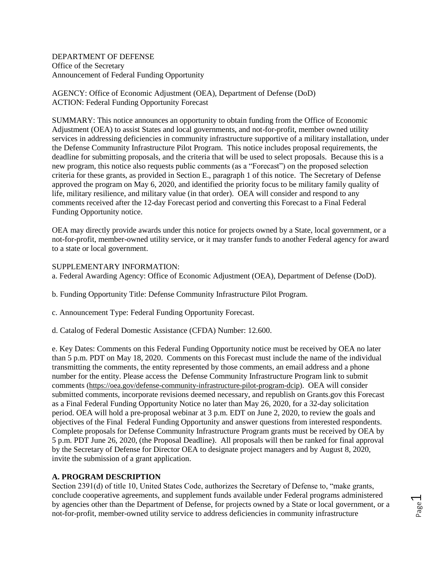DEPARTMENT OF DEFENSE Office of the Secretary Announcement of Federal Funding Opportunity

AGENCY: Office of Economic Adjustment (OEA), Department of Defense (DoD) ACTION: Federal Funding Opportunity Forecast

SUMMARY: This notice announces an opportunity to obtain funding from the Office of Economic Adjustment (OEA) to assist States and local governments, and not-for-profit, member owned utility services in addressing deficiencies in community infrastructure supportive of a military installation, under the Defense Community Infrastructure Pilot Program. This notice includes proposal requirements, the deadline for submitting proposals, and the criteria that will be used to select proposals. Because this is a new program, this notice also requests public comments (as a "Forecast") on the proposed selection criteria for these grants, as provided in Section E., paragraph 1 of this notice. The Secretary of Defense approved the program on May 6, 2020, and identified the priority focus to be military family quality of life, military resilience, and military value (in that order). OEA will consider and respond to any comments received after the 12-day Forecast period and converting this Forecast to a Final Federal Funding Opportunity notice.

OEA may directly provide awards under this notice for projects owned by a State, local government, or a not-for-profit, member-owned utility service, or it may transfer funds to another Federal agency for award to a state or local government.

#### SUPPLEMENTARY INFORMATION:

a. Federal Awarding Agency: Office of Economic Adjustment (OEA), Department of Defense (DoD).

- b. Funding Opportunity Title: Defense Community Infrastructure Pilot Program.
- c. Announcement Type: Federal Funding Opportunity Forecast.
- d. Catalog of Federal Domestic Assistance (CFDA) Number: 12.600.

e. Key Dates: Comments on this Federal Funding Opportunity notice must be received by OEA no later than 5 p.m. PDT on May 18, 2020. Comments on this Forecast must include the name of the individual transmitting the comments, the entity represented by those comments, an email address and a phone number for the entity. Please access the Defense Community Infrastructure Program link to submit comments [\(https://oea.gov/defense-community-infrastructure-pilot-program-dcip\)](https://oea.gov/defense-community-infrastructure-pilot-program-dcip). OEA will consider submitted comments, incorporate revisions deemed necessary, and republish on Grants.gov this Forecast as a Final Federal Funding Opportunity Notice no later than May 26, 2020, for a 32-day solicitation period. OEA will hold a pre-proposal webinar at 3 p.m. EDT on June 2, 2020, to review the goals and objectives of the Final Federal Funding Opportunity and answer questions from interested respondents. Complete proposals for Defense Community Infrastructure Program grants must be received by OEA by 5 p.m. PDT June 26, 2020, (the Proposal Deadline). All proposals will then be ranked for final approval by the Secretary of Defense for Director OEA to designate project managers and by August 8, 2020, invite the submission of a grant application.

#### **A. PROGRAM DESCRIPTION**

Section 2391(d) of title 10, United States Code, authorizes the Secretary of Defense to, "make grants, conclude cooperative agreements, and supplement funds available under Federal programs administered by agencies other than the Department of Defense, for projects owned by a State or local government, or a not-for-profit, member-owned utility service to address deficiencies in community infrastructure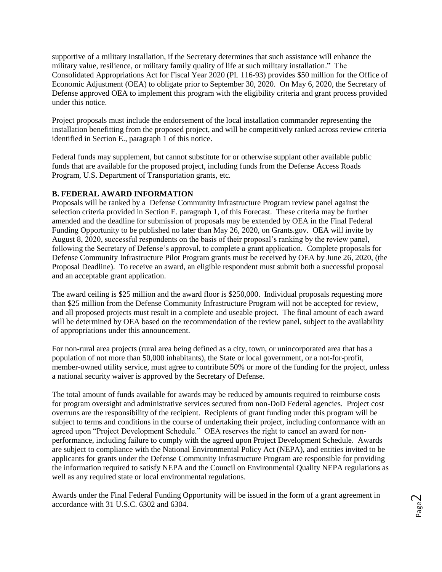supportive of a military installation, if the Secretary determines that such assistance will enhance the military value, resilience, or military family quality of life at such military installation." The Consolidated Appropriations Act for Fiscal Year 2020 (PL 116-93) provides \$50 million for the Office of Economic Adjustment (OEA) to obligate prior to September 30, 2020. On May 6, 2020, the Secretary of Defense approved OEA to implement this program with the eligibility criteria and grant process provided under this notice.

Project proposals must include the endorsement of the local installation commander representing the installation benefitting from the proposed project, and will be competitively ranked across review criteria identified in Section E., paragraph 1 of this notice.

Federal funds may supplement, but cannot substitute for or otherwise supplant other available public funds that are available for the proposed project, including funds from the Defense Access Roads Program, U.S. Department of Transportation grants, etc.

## **B. FEDERAL AWARD INFORMATION**

Proposals will be ranked by a Defense Community Infrastructure Program review panel against the selection criteria provided in Section E. paragraph 1, of this Forecast. These criteria may be further amended and the deadline for submission of proposals may be extended by OEA in the Final Federal Funding Opportunity to be published no later than May 26, 2020, on Grants.gov. OEA will invite by August 8, 2020, successful respondents on the basis of their proposal's ranking by the review panel, following the Secretary of Defense's approval, to complete a grant application. Complete proposals for Defense Community Infrastructure Pilot Program grants must be received by OEA by June 26, 2020, (the Proposal Deadline). To receive an award, an eligible respondent must submit both a successful proposal and an acceptable grant application.

The award ceiling is \$25 million and the award floor is \$250,000. Individual proposals requesting more than \$25 million from the Defense Community Infrastructure Program will not be accepted for review, and all proposed projects must result in a complete and useable project. The final amount of each award will be determined by OEA based on the recommendation of the review panel, subject to the availability of appropriations under this announcement.

For non-rural area projects (rural area being defined as a city, town, or unincorporated area that has a population of not more than 50,000 inhabitants), the State or local government, or a not-for-profit, member-owned utility service, must agree to contribute 50% or more of the funding for the project, unless a national security waiver is approved by the Secretary of Defense.

The total amount of funds available for awards may be reduced by amounts required to reimburse costs for program oversight and administrative services secured from non-DoD Federal agencies. Project cost overruns are the responsibility of the recipient. Recipients of grant funding under this program will be subject to terms and conditions in the course of undertaking their project, including conformance with an agreed upon "Project Development Schedule." OEA reserves the right to cancel an award for nonperformance, including failure to comply with the agreed upon Project Development Schedule. Awards are subject to compliance with the National Environmental Policy Act (NEPA), and entities invited to be applicants for grants under the Defense Community Infrastructure Program are responsible for providing the information required to satisfy NEPA and the Council on Environmental Quality NEPA regulations as well as any required state or local environmental regulations.

Awards under the Final Federal Funding Opportunity will be issued in the form of a grant agreement in accordance with 31 U.S.C. 6302 and 6304.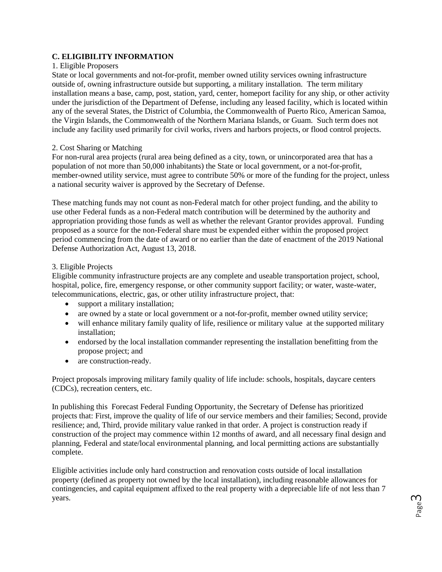# **C. ELIGIBILITY INFORMATION**

#### 1. Eligible Proposers

State or local governments and not-for-profit, member owned utility services owning infrastructure outside of, owning infrastructure outside but supporting, a military installation. The term military installation means a base, camp, post, station, yard, center, homeport facility for any ship, or other activity under the jurisdiction of the Department of Defense, including any leased facility, which is located within any of the several States, the District of Columbia, the Commonwealth of Puerto Rico, American Samoa, the Virgin Islands, the Commonwealth of the Northern Mariana Islands, or Guam. Such term does not include any facility used primarily for civil works, rivers and harbors projects, or flood control projects.

#### 2. Cost Sharing or Matching

For non-rural area projects (rural area being defined as a city, town, or unincorporated area that has a population of not more than 50,000 inhabitants) the State or local government, or a not-for-profit, member-owned utility service, must agree to contribute 50% or more of the funding for the project, unless a national security waiver is approved by the Secretary of Defense.

These matching funds may not count as non-Federal match for other project funding, and the ability to use other Federal funds as a non-Federal match contribution will be determined by the authority and appropriation providing those funds as well as whether the relevant Grantor provides approval. Funding proposed as a source for the non-Federal share must be expended either within the proposed project period commencing from the date of award or no earlier than the date of enactment of the 2019 National Defense Authorization Act, August 13, 2018.

## 3. Eligible Projects

Eligible community infrastructure projects are any complete and useable transportation project, school, hospital, police, fire, emergency response, or other community support facility; or water, waste-water, telecommunications, electric, gas, or other utility infrastructure project, that:

- support a military installation;
- are owned by a state or local government or a not-for-profit, member owned utility service;
- will enhance military family quality of life, resilience or military value at the supported military installation;
- endorsed by the local installation commander representing the installation benefitting from the propose project; and
- are construction-ready.

Project proposals improving military family quality of life include: schools, hospitals, daycare centers (CDCs), recreation centers, etc.

In publishing this Forecast Federal Funding Opportunity, the Secretary of Defense has prioritized projects that: First, improve the quality of life of our service members and their families; Second, provide resilience; and, Third, provide military value ranked in that order. A project is construction ready if construction of the project may commence within 12 months of award, and all necessary final design and planning, Federal and state/local environmental planning, and local permitting actions are substantially complete.

Eligible activities include only hard construction and renovation costs outside of local installation property (defined as property not owned by the local installation), including reasonable allowances for contingencies, and capital equipment affixed to the real property with a depreciable life of not less than 7 years.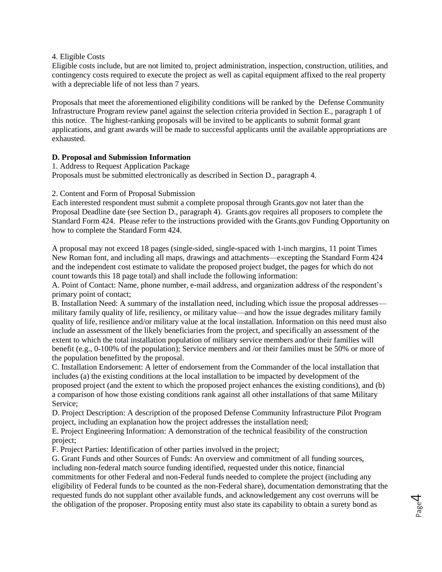#### 4. Eligible Costs

Eligible costs include, but are not limited to, project administration, inspection, construction, utilities, and contingency costs required to execute the project as well as capital equipment affixed to the real property with a depreciable life of not less than 7 years.

Proposals that meet the aforementioned eligibility conditions will be ranked by the Defense Community Infrastructure Program review panel against the selection criteria provided in Section E., paragraph 1 of this notice. The highest-ranking proposals will be invited to be applicants to submit formal grant applications, and grant awards will be made to successful applicants until the available appropriations are exhausted.

## **D. Proposal and Submission Information**

1. Address to Request Application Package Proposals must be submitted electronically as described in Section D., paragraph 4.

2. Content and Form of Proposal Submission

Each interested respondent must submit a complete proposal through Grants.gov not later than the Proposal Deadline date (see Section D., paragraph 4). Grants.gov requires all proposers to complete the Standard Form 424. Please refer to the instructions provided with the Grants.gov Funding Opportunity on how to complete the Standard Form 424.

A proposal may not exceed 18 pages (single-sided, single-spaced with 1-inch margins, 11 point Times New Roman font, and including all maps, drawings and attachments—excepting the Standard Form 424 and the independent cost estimate to validate the proposed project budget, the pages for which do not count towards this 18 page total) and shall include the following information:

A. Point of Contact: Name, phone number, e-mail address, and organization address of the respondent's primary point of contact;

B. Installation Need: A summary of the installation need, including which issue the proposal addresses military family quality of life, resiliency, or military value—and how the issue degrades military family quality of life, resilience and/or military value at the local installation. Information on this need must also include an assessment of the likely beneficiaries from the project, and specifically an assessment of the extent to which the total installation population of military service members and/or their families will benefit (e.g., 0-100% of the population); Service members and /or their families must be 50% or more of the population benefitted by the proposal.

C. Installation Endorsement: A letter of endorsement from the Commander of the local installation that includes (a) the existing conditions at the local installation to be impacted by development of the proposed project (and the extent to which the proposed project enhances the existing conditions), and (b) a comparison of how those existing conditions rank against all other installations of that same Military Service;

D. Project Description: A description of the proposed Defense Community Infrastructure Pilot Program project, including an explanation how the project addresses the installation need;

E. Project Engineering Information: A demonstration of the technical feasibility of the construction project;

F. Project Parties: Identification of other parties involved in the project;

G. Grant Funds and other Sources of Funds: An overview and commitment of all funding sources, including non-federal match source funding identified, requested under this notice, financial commitments for other Federal and non-Federal funds needed to complete the project (including any eligibility of Federal funds to be counted as the non-Federal share), documentation demonstrating that the requested funds do not supplant other available funds, and acknowledgement any cost overruns will be the obligation of the proposer. Proposing entity must also state its capability to obtain a surety bond as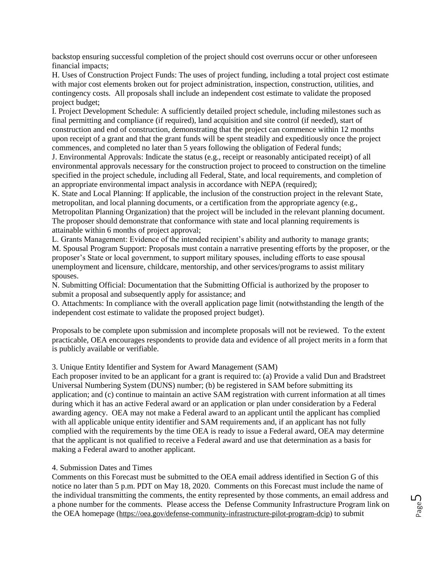backstop ensuring successful completion of the project should cost overruns occur or other unforeseen financial impacts;

H. Uses of Construction Project Funds: The uses of project funding, including a total project cost estimate with major cost elements broken out for project administration, inspection, construction, utilities, and contingency costs. All proposals shall include an independent cost estimate to validate the proposed project budget;

I. Project Development Schedule: A sufficiently detailed project schedule, including milestones such as final permitting and compliance (if required), land acquisition and site control (if needed), start of construction and end of construction, demonstrating that the project can commence within 12 months upon receipt of a grant and that the grant funds will be spent steadily and expeditiously once the project commences, and completed no later than 5 years following the obligation of Federal funds;

J. Environmental Approvals: Indicate the status (e.g., receipt or reasonably anticipated receipt) of all environmental approvals necessary for the construction project to proceed to construction on the timeline specified in the project schedule, including all Federal, State, and local requirements, and completion of an appropriate environmental impact analysis in accordance with NEPA (required);

K. State and Local Planning: If applicable, the inclusion of the construction project in the relevant State, metropolitan, and local planning documents, or a certification from the appropriate agency (e.g., Metropolitan Planning Organization) that the project will be included in the relevant planning document. The proposer should demonstrate that conformance with state and local planning requirements is attainable within 6 months of project approval;

L. Grants Management: Evidence of the intended recipient's ability and authority to manage grants; M. Spousal Program Support: Proposals must contain a narrative presenting efforts by the proposer, or the proposer's State or local government, to support military spouses, including efforts to ease spousal unemployment and licensure, childcare, mentorship, and other services/programs to assist military spouses.

N. Submitting Official: Documentation that the Submitting Official is authorized by the proposer to submit a proposal and subsequently apply for assistance; and

O. Attachments: In compliance with the overall application page limit (notwithstanding the length of the independent cost estimate to validate the proposed project budget).

Proposals to be complete upon submission and incomplete proposals will not be reviewed. To the extent practicable, OEA encourages respondents to provide data and evidence of all project merits in a form that is publicly available or verifiable.

## 3. Unique Entity Identifier and System for Award Management (SAM)

Each proposer invited to be an applicant for a grant is required to: (a) Provide a valid Dun and Bradstreet Universal Numbering System (DUNS) number; (b) be registered in SAM before submitting its application; and (c) continue to maintain an active SAM registration with current information at all times during which it has an active Federal award or an application or plan under consideration by a Federal awarding agency. OEA may not make a Federal award to an applicant until the applicant has complied with all applicable unique entity identifier and SAM requirements and, if an applicant has not fully complied with the requirements by the time OEA is ready to issue a Federal award, OEA may determine that the applicant is not qualified to receive a Federal award and use that determination as a basis for making a Federal award to another applicant.

## 4. Submission Dates and Times

Comments on this Forecast must be submitted to the OEA email address identified in Section G of this notice no later than 5 p.m. PDT on May 18, 2020. Comments on this Forecast must include the name of the individual transmitting the comments, the entity represented by those comments, an email address and a phone number for the comments. Please access the Defense Community Infrastructure Program link on the OEA homepage [\(https://oea.gov/defense-community-infrastructure-pilot-program-dcip\)](https://oea.gov/defense-community-infrastructure-pilot-program-dcip) to submit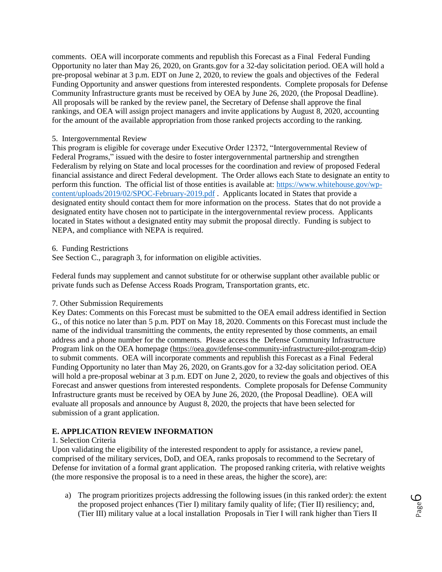comments. OEA will incorporate comments and republish this Forecast as a Final Federal Funding Opportunity no later than May 26, 2020, on Grants.gov for a 32-day solicitation period. OEA will hold a pre-proposal webinar at 3 p.m. EDT on June 2, 2020, to review the goals and objectives of the Federal Funding Opportunity and answer questions from interested respondents. Complete proposals for Defense Community Infrastructure grants must be received by OEA by June 26, 2020, (the Proposal Deadline). All proposals will be ranked by the review panel, the Secretary of Defense shall approve the final rankings, and OEA will assign project managers and invite applications by August 8, 2020, accounting for the amount of the available appropriation from those ranked projects according to the ranking.

#### 5. Intergovernmental Review

This program is eligible for coverage under Executive Order 12372, "Intergovernmental Review of Federal Programs," issued with the desire to foster intergovernmental partnership and strengthen Federalism by relying on State and local processes for the coordination and review of proposed Federal financial assistance and direct Federal development. The Order allows each State to designate an entity to perform this function. The official list of those entities is available at: [https://www.whitehouse.gov/wp](https://www.whitehouse.gov/wp-content/uploads/2019/02/SPOC-February-2019.pdf)[content/uploads/2019/02/SPOC-February-2019.pdf](https://www.whitehouse.gov/wp-content/uploads/2019/02/SPOC-February-2019.pdf) . Applicants located in States that provide a designated entity should contact them for more information on the process. States that do not provide a designated entity have chosen not to participate in the intergovernmental review process. Applicants located in States without a designated entity may submit the proposal directly. Funding is subject to NEPA, and compliance with NEPA is required.

#### 6. Funding Restrictions

See Section C., paragraph 3, for information on eligible activities.

Federal funds may supplement and cannot substitute for or otherwise supplant other available public or private funds such as Defense Access Roads Program, Transportation grants, etc.

#### 7. Other Submission Requirements

Key Dates: Comments on this Forecast must be submitted to the OEA email address identified in Section G., of this notice no later than 5 p.m. PDT on May 18, 2020. Comments on this Forecast must include the name of the individual transmitting the comments, the entity represented by those comments, an email address and a phone number for the comments. Please access the Defense Community Infrastructure Program link on the OEA homepage [\(https://oea.gov/defense-community-infrastructure-pilot-program-dcip\)](https://oea.gov/defense-community-infrastructure-pilot-program-dcip) to submit comments. OEA will incorporate comments and republish this Forecast as a Final Federal Funding Opportunity no later than May 26, 2020, on Grants.gov for a 32-day solicitation period. OEA will hold a pre-proposal webinar at 3 p.m. EDT on June 2, 2020, to review the goals and objectives of this Forecast and answer questions from interested respondents. Complete proposals for Defense Community Infrastructure grants must be received by OEA by June 26, 2020, (the Proposal Deadline). OEA will evaluate all proposals and announce by August 8, 2020, the projects that have been selected for submission of a grant application.

## **E. APPLICATION REVIEW INFORMATION**

## 1. Selection Criteria

Upon validating the eligibility of the interested respondent to apply for assistance, a review panel, comprised of the military services, DoD, and OEA, ranks proposals to recommend to the Secretary of Defense for invitation of a formal grant application. The proposed ranking criteria, with relative weights (the more responsive the proposal is to a need in these areas, the higher the score), are:

a) The program prioritizes projects addressing the following issues (in this ranked order): the extent the proposed project enhances (Tier I) military family quality of life; (Tier II) resiliency; and, (Tier III) military value at a local installation Proposals in Tier I will rank higher than Tiers II

Page ص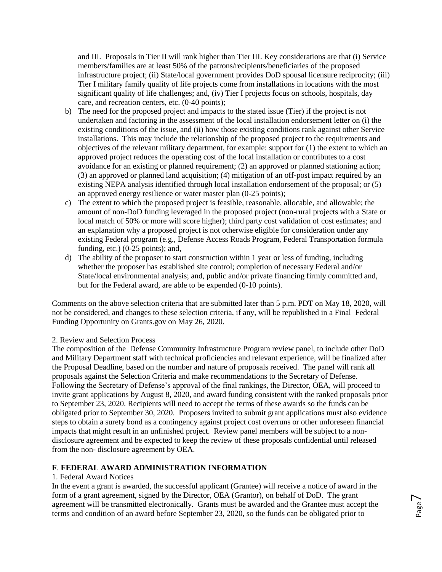and III. Proposals in Tier II will rank higher than Tier III. Key considerations are that (i) Service members/families are at least 50% of the patrons/recipients/beneficiaries of the proposed infrastructure project; (ii) State/local government provides DoD spousal licensure reciprocity; (iii) Tier I military family quality of life projects come from installations in locations with the most significant quality of life challenges; and, (iv) Tier I projects focus on schools, hospitals, day care, and recreation centers, etc. (0-40 points);

- b) The need for the proposed project and impacts to the stated issue (Tier) if the project is not undertaken and factoring in the assessment of the local installation endorsement letter on (i) the existing conditions of the issue, and (ii) how those existing conditions rank against other Service installations. This may include the relationship of the proposed project to the requirements and objectives of the relevant military department, for example: support for (1) the extent to which an approved project reduces the operating cost of the local installation or contributes to a cost avoidance for an existing or planned requirement; (2) an approved or planned stationing action; (3) an approved or planned land acquisition; (4) mitigation of an off-post impact required by an existing NEPA analysis identified through local installation endorsement of the proposal; or (5) an approved energy resilience or water master plan (0-25 points);
- c) The extent to which the proposed project is feasible, reasonable, allocable, and allowable; the amount of non-DoD funding leveraged in the proposed project (non-rural projects with a State or local match of 50% or more will score higher); third party cost validation of cost estimates; and an explanation why a proposed project is not otherwise eligible for consideration under any existing Federal program (e.g., Defense Access Roads Program, Federal Transportation formula funding, etc.) (0-25 points); and,
- d) The ability of the proposer to start construction within 1 year or less of funding, including whether the proposer has established site control; completion of necessary Federal and/or State/local environmental analysis; and, public and/or private financing firmly committed and, but for the Federal award, are able to be expended (0-10 points).

Comments on the above selection criteria that are submitted later than 5 p.m. PDT on May 18, 2020, will not be considered, and changes to these selection criteria, if any, will be republished in a Final Federal Funding Opportunity on Grants.gov on May 26, 2020.

## 2. Review and Selection Process

The composition of the Defense Community Infrastructure Program review panel, to include other DoD and Military Department staff with technical proficiencies and relevant experience, will be finalized after the Proposal Deadline, based on the number and nature of proposals received. The panel will rank all proposals against the Selection Criteria and make recommendations to the Secretary of Defense. Following the Secretary of Defense's approval of the final rankings, the Director, OEA, will proceed to invite grant applications by August 8, 2020, and award funding consistent with the ranked proposals prior to September 23, 2020. Recipients will need to accept the terms of these awards so the funds can be obligated prior to September 30, 2020. Proposers invited to submit grant applications must also evidence steps to obtain a surety bond as a contingency against project cost overruns or other unforeseen financial impacts that might result in an unfinished project. Review panel members will be subject to a nondisclosure agreement and be expected to keep the review of these proposals confidential until released from the non- disclosure agreement by OEA.

## **F**. **FEDERAL AWARD ADMINISTRATION INFORMATION**

## 1. Federal Award Notices

In the event a grant is awarded, the successful applicant (Grantee) will receive a notice of award in the form of a grant agreement, signed by the Director, OEA (Grantor), on behalf of DoD. The grant agreement will be transmitted electronically. Grants must be awarded and the Grantee must accept the terms and condition of an award before September 23, 2020, so the funds can be obligated prior to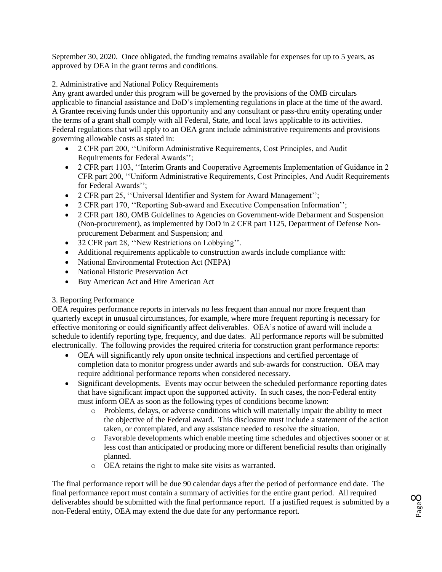September 30, 2020. Once obligated, the funding remains available for expenses for up to 5 years, as approved by OEA in the grant terms and conditions.

# 2. Administrative and National Policy Requirements

Any grant awarded under this program will be governed by the provisions of the OMB circulars applicable to financial assistance and DoD's implementing regulations in place at the time of the award. A Grantee receiving funds under this opportunity and any consultant or pass-thru entity operating under the terms of a grant shall comply with all Federal, State, and local laws applicable to its activities. Federal regulations that will apply to an OEA grant include administrative requirements and provisions governing allowable costs as stated in:

- 2 CFR part 200, ''Uniform Administrative Requirements, Cost Principles, and Audit Requirements for Federal Awards'';
- 2 CFR part 1103, "Interim Grants and Cooperative Agreements Implementation of Guidance in 2 CFR part 200, ''Uniform Administrative Requirements, Cost Principles, And Audit Requirements for Federal Awards'';
- 2 CFR part 25, "Universal Identifier and System for Award Management";
- 2 CFR part 170, "Reporting Sub-award and Executive Compensation Information";
- 2 CFR part 180, OMB Guidelines to Agencies on Government-wide Debarment and Suspension (Non-procurement), as implemented by DoD in 2 CFR part 1125, Department of Defense Nonprocurement Debarment and Suspension; and
- 32 CFR part 28, ''New Restrictions on Lobbying''.
- Additional requirements applicable to construction awards include compliance with:
- National Environmental Protection Act (NEPA)
- National Historic Preservation Act
- Buy American Act and Hire American Act

# 3. Reporting Performance

OEA requires performance reports in intervals no less frequent than annual nor more frequent than quarterly except in unusual circumstances, for example, where more frequent reporting is necessary for effective monitoring or could significantly affect deliverables. OEA's notice of award will include a schedule to identify reporting type, frequency, and due dates. All performance reports will be submitted electronically. The following provides the required criteria for construction grant performance reports:

- OEA will significantly rely upon onsite technical inspections and certified percentage of completion data to monitor progress under awards and sub-awards for construction. OEA may require additional performance reports when considered necessary.
- Significant developments. Events may occur between the scheduled performance reporting dates that have significant impact upon the supported activity. In such cases, the non-Federal entity must inform OEA as soon as the following types of conditions become known:
	- o Problems, delays, or adverse conditions which will materially impair the ability to meet the objective of the Federal award. This disclosure must include a statement of the action taken, or contemplated, and any assistance needed to resolve the situation.
	- o Favorable developments which enable meeting time schedules and objectives sooner or at less cost than anticipated or producing more or different beneficial results than originally planned.
	- o OEA retains the right to make site visits as warranted.

The final performance report will be due 90 calendar days after the period of performance end date. The final performance report must contain a summary of activities for the entire grant period. All required deliverables should be submitted with the final performance report. If a justified request is submitted by a non-Federal entity, OEA may extend the due date for any performance report.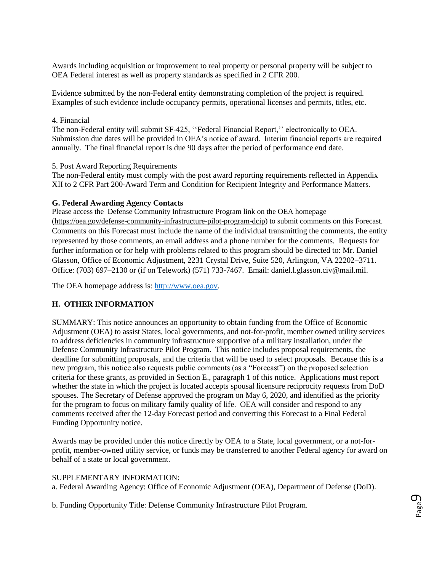Awards including acquisition or improvement to real property or personal property will be subject to OEA Federal interest as well as property standards as specified in 2 CFR 200.

Evidence submitted by the non-Federal entity demonstrating completion of the project is required. Examples of such evidence include occupancy permits, operational licenses and permits, titles, etc.

#### 4. Financial

The non-Federal entity will submit SF-425, ''Federal Financial Report,'' electronically to OEA. Submission due dates will be provided in OEA's notice of award. Interim financial reports are required annually. The final financial report is due 90 days after the period of performance end date.

#### 5. Post Award Reporting Requirements

The non-Federal entity must comply with the post award reporting requirements reflected in Appendix XII to 2 CFR Part 200-Award Term and Condition for Recipient Integrity and Performance Matters.

#### **G. Federal Awarding Agency Contacts**

Please access the Defense Community Infrastructure Program link on the OEA homepage [\(https://oea.gov/defense-community-infrastructure-pilot-program-dcip\)](https://oea.gov/defense-community-infrastructure-pilot-program-dcip) to submit comments on this Forecast. Comments on this Forecast must include the name of the individual transmitting the comments, the entity represented by those comments, an email address and a phone number for the comments. Requests for further information or for help with problems related to this program should be directed to: Mr. Daniel Glasson, Office of Economic Adjustment, 2231 Crystal Drive, Suite 520, Arlington, VA 22202–3711. Office: (703) 697–2130 or (if on Telework) (571) 733-7467. Email: daniel.l.glasson.civ@mail.mil.

The OEA homepage address is: [http://www.oea.gov.](http://www.oea.gov/)

# **H. OTHER INFORMATION**

SUMMARY: This notice announces an opportunity to obtain funding from the Office of Economic Adjustment (OEA) to assist States, local governments, and not-for-profit, member owned utility services to address deficiencies in community infrastructure supportive of a military installation, under the Defense Community Infrastructure Pilot Program. This notice includes proposal requirements, the deadline for submitting proposals, and the criteria that will be used to select proposals. Because this is a new program, this notice also requests public comments (as a "Forecast") on the proposed selection criteria for these grants, as provided in Section E., paragraph 1 of this notice. Applications must report whether the state in which the project is located accepts spousal licensure reciprocity requests from DoD spouses. The Secretary of Defense approved the program on May 6, 2020, and identified as the priority for the program to focus on military family quality of life. OEA will consider and respond to any comments received after the 12-day Forecast period and converting this Forecast to a Final Federal Funding Opportunity notice.

Awards may be provided under this notice directly by OEA to a State, local government, or a not-forprofit, member-owned utility service, or funds may be transferred to another Federal agency for award on behalf of a state or local government.

## SUPPLEMENTARY INFORMATION:

a. Federal Awarding Agency: Office of Economic Adjustment (OEA), Department of Defense (DoD).

b. Funding Opportunity Title: Defense Community Infrastructure Pilot Program.